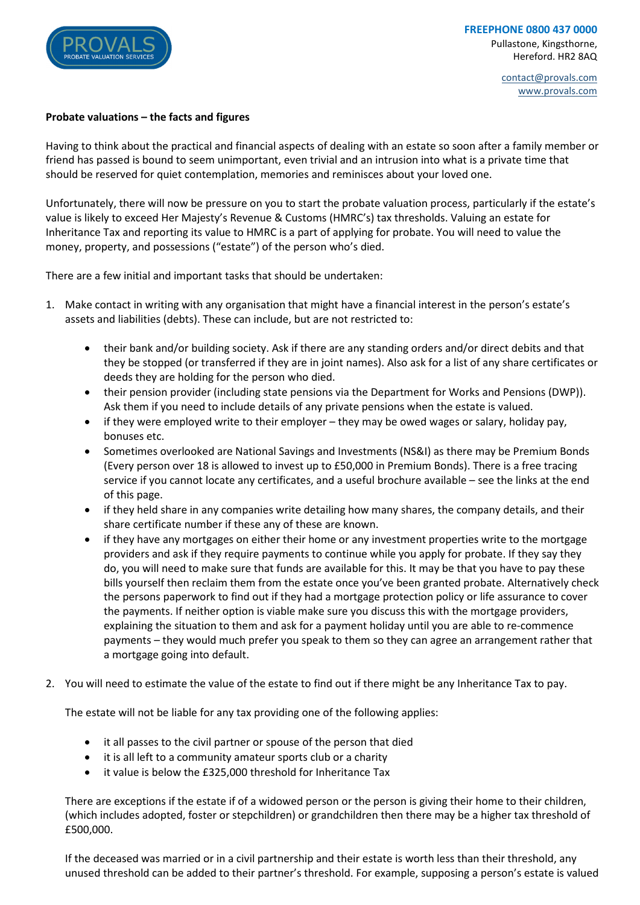

contact@provals.com www.provals.com

### **Probate valuations – the facts and figures**

Having to think about the practical and financial aspects of dealing with an estate so soon after a family member or friend has passed is bound to seem unimportant, even trivial and an intrusion into what is a private time that should be reserved for quiet contemplation, memories and reminisces about your loved one.

Unfortunately, there will now be pressure on you to start the probate valuation process, particularly if the estate's value is likely to exceed Her Majesty's Revenue & Customs (HMRC's) tax thresholds. Valuing an estate for Inheritance Tax and reporting its value to HMRC is a part of applying for probate. You will need to value the money, property, and possessions ("estate") of the person who's died.

There are a few initial and important tasks that should be undertaken:

- 1. Make contact in writing with any organisation that might have a financial interest in the person's estate's assets and liabilities (debts). These can include, but are not restricted to:
	- their bank and/or building society. Ask if there are any standing orders and/or direct debits and that they be stopped (or transferred if they are in joint names). Also ask for a list of any share certificates or deeds they are holding for the person who died.
	- their pension provider (including state pensions via the Department for Works and Pensions (DWP)). Ask them if you need to include details of any private pensions when the estate is valued.
	- if they were employed write to their employer they may be owed wages or salary, holiday pay, bonuses etc.
	- Sometimes overlooked are National Savings and Investments (NS&I) as there may be Premium Bonds (Every person over 18 is allowed to invest up to £50,000 in Premium Bonds). There is a free tracing service if you cannot locate any certificates, and a useful brochure available – see the links at the end of this page.
	- if they held share in any companies write detailing how many shares, the company details, and their share certificate number if these any of these are known.
	- if they have any mortgages on either their home or any investment properties write to the mortgage providers and ask if they require payments to continue while you apply for probate. If they say they do, you will need to make sure that funds are available for this. It may be that you have to pay these bills yourself then reclaim them from the estate once you've been granted probate. Alternatively check the persons paperwork to find out if they had a mortgage protection policy or life assurance to cover the payments. If neither option is viable make sure you discuss this with the mortgage providers, explaining the situation to them and ask for a payment holiday until you are able to re-commence payments – they would much prefer you speak to them so they can agree an arrangement rather that a mortgage going into default.
- 2. You will need to estimate the value of the estate to find out if there might be any Inheritance Tax to pay.

The estate will not be liable for any tax providing one of the following applies:

- it all passes to the civil partner or spouse of the person that died
- it is all left to a community amateur sports club or a charity
- it value is below the £325,000 threshold for Inheritance Tax

There are exceptions if the estate if of a widowed person or the person is giving their home to their children, (which includes adopted, foster or stepchildren) or grandchildren then there may be a higher tax threshold of £500,000.

If the deceased was married or in a civil partnership and their estate is worth less than their threshold, any unused threshold can be added to their partner's threshold. For example, supposing a person's estate is valued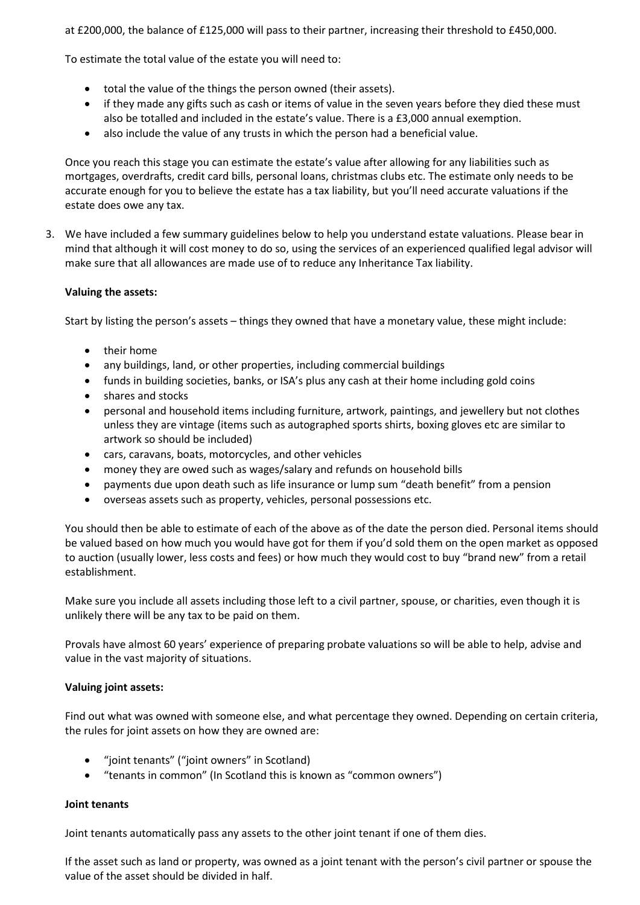at £200,000, the balance of £125,000 will pass to their partner, increasing their threshold to £450,000.

To estimate the total value of the estate you will need to:

- total the value of the things the person owned (their assets).
- if they made any gifts such as cash or items of value in the seven years before they died these must also be totalled and included in the estate's value. There is a £3,000 annual exemption.
- also include the value of any trusts in which the person had a beneficial value.

Once you reach this stage you can estimate the estate's value after allowing for any liabilities such as mortgages, overdrafts, credit card bills, personal loans, christmas clubs etc. The estimate only needs to be accurate enough for you to believe the estate has a tax liability, but you'll need accurate valuations if the estate does owe any tax.

3. We have included a few summary guidelines below to help you understand estate valuations. Please bear in mind that although it will cost money to do so, using the services of an experienced qualified legal advisor will make sure that all allowances are made use of to reduce any Inheritance Tax liability.

## **Valuing the assets:**

Start by listing the person's assets – things they owned that have a monetary value, these might include:

- their home
- any buildings, land, or other properties, including commercial buildings
- funds in building societies, banks, or ISA's plus any cash at their home including gold coins
- shares and stocks
- personal and household items including furniture, artwork, paintings, and jewellery but not clothes unless they are vintage (items such as autographed sports shirts, boxing gloves etc are similar to artwork so should be included)
- cars, caravans, boats, motorcycles, and other vehicles
- money they are owed such as wages/salary and refunds on household bills
- payments due upon death such as life insurance or lump sum "death benefit" from a pension
- overseas assets such as property, vehicles, personal possessions etc.

You should then be able to estimate of each of the above as of the date the person died. Personal items should be valued based on how much you would have got for them if you'd sold them on the open market as opposed to auction (usually lower, less costs and fees) or how much they would cost to buy "brand new" from a retail establishment.

Make sure you include all assets including those left to a civil partner, spouse, or charities, even though it is unlikely there will be any tax to be paid on them.

Provals have almost 60 years' experience of preparing probate valuations so will be able to help, advise and value in the vast majority of situations.

# **Valuing joint assets:**

Find out what was owned with someone else, and what percentage they owned. Depending on certain criteria, the rules for joint assets on how they are owned are:

- "joint tenants" ("joint owners" in Scotland)
- "tenants in common" (In Scotland this is known as "common owners")

### **Joint tenants**

Joint tenants automatically pass any assets to the other joint tenant if one of them dies.

If the asset such as land or property, was owned as a joint tenant with the person's civil partner or spouse the value of the asset should be divided in half.